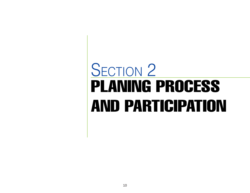# PLANING PROCESS AND PARTICIPATION SECTION 2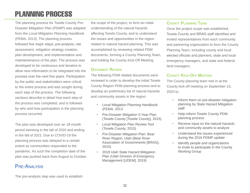## PLANNING PROCESS

The planning process for Tooele County Pre-Disaster Mitigation Plan (PDMP) was adapted from the *Local Mitigation Planning Handbook* (FEMA, 2013). The planning process followed five major steps: pre-analysis, risk assessment, mitigation strategy creation, plan development, and implementation and maintainenance of the plan. The process was developed to be continuous and iterative to allow new information to be integrated into the process over the next five years. Participation by the public and stakeholders were critical to the entire process and was sought during each step of the process. The following sections describe in detail how each step of the process was completed, and is followed by who and how participation in the planning process occurred.

The plan was developed over an 18-month period beinning in the fall of 2020 and ending in the fall of 2021. Due to COVID-19 the planning process was delayed to a certain extent as communities responded to the pandemic. As such the completion date of the plan was pushed back from August to October.

## Pre-Analysis

the scope of the project, to form an initial understanding of the natural hazards affecting Tooele County, and to understand the issues and opportunities in the region related to natural hazard planning. This was accomplished by reviewing related PDM documents, forming a County Planning Team, and holding the County Kick-Off Meeting.

#### **Document Review**

The following PDM related documents were reviewed in order to develop the initial Tooele County Region PDM planning process and to develop an preliminary list of natural hazards and community assets in the region:

- Local Mitigation Planning Handbook (FEMA, 2013
- Pre-Disaster Mitigation 5-Year Plan (Tooele County [Tooele County], 2015)
- Local Mitigation Plan Review Tool (Tooele County, 2015)
- Pre-Disaster Mitigation Plan: Bear River Region, Utah (Bear River Association of Governments [BRAG], 2015)
- 2019 Utah State Hazard Mitigation Plan (Utah Division of Emergency Management [UDEM], 2019)

#### **County Planning Team**

Once the project scope was established, Tooele County and BRAG staff identified and invited representatives from each community and partnering organization to form the County Planning Team, including county and local elected officials and planners, state and local emergency managers, and state and federal land managers.

## **County Kick-Off Meeting**

The County planning team met in at the County kick-off meeting on September 15, 2020 to:

- Inform them on pre-disaster mitigation planning by State Hazard Mitigation staff
- Help inform Tooele County PDM planning process
- Receive input on the natural hazards and community assets to analyze
- Understand the issues experienced during the 2016 PDMP update
- Identify people and organizations to invite to participate in the County Working Group

The pre-analysis step was used to establish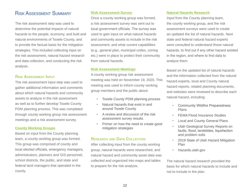## Risk Assessment Summary

The risk assessment step was used to determine the potential impacts of natural hazards to the people, economy, and built and natural environments of Tooele County, and to provide the factual basis for the mitigation strategies. This included collecting input on the risk assessment, natural hazard research and data collection, and conducting the risk analysis.

#### **Risk Assessment Input**

The risk assessment input step was used to gather additional information and comments about which natural hazards and community assets to analyze in the risk assessment as well as to further develop Tooele County PDM planning process. This was completed through county working group risk assessment meetings and a risk assessment survey.

#### **County Working Groups**

Based on input from the County planning team, a county working group was formed. This group was comprised of county and local elected officials, emergency managers, administrators, planners and GIS personnel, school districts, the public, and state and federal land managers that operated in the county.

#### **Risk Assessment Survey**

Once a county working group was formed, a risk assessment survey was sent out to local government officials. The survey was used to gain input on what natural hazards and community assets to include in the risk assessment, and what current capabilities (e.g., general plan, municipal codes, zoning etc.) were in place to protect their community from natural hazards.

#### **Risk Assessment Meetings**

A county working group risk assessment meeting was held on November 19, 2020. This meeting was used to inform county working group members and the public about:

- Tooele County PDM planning process
- Natural hazards that exist in and around Tooele County
- A review and discussion of the risk assessment survey results
- Primer on how the need to create good mitigation strategies

#### **Research and Data Collection**

After collecting input from the county working group, natural hazards were researched, and natural hazard and community asset data was collected and organized into maps and tables to prepare for the risk analysis.

#### **Natural Hazards Research**

Input from the County planning team, the county working group, and the risk assessment surveys were used to create an updated the list of natural hazards. Next state and federal natural hazard experts were consulted to understand those natural hazards, to find out if any other hazard existed in the region, and where to find data to analyze them.

Based on the updated list of natural hazards and the information collected from the natural hazard experts, local and County natural hazard reports, related planning documents, and websites were reviewed to describe each natural hazard, including:

- Community Wildfire Preparedness Plans
- **FEMA Flood Insurance Studies**
- Local and County General Plans
- Utah Geological Survey Reports on faults, flood, landslides, liquefaction and problem soils
- 2019 State of Utah Hazard Mitigation Plan
- Hazards.utah.gov

The natural hazard research provided the basis for which natural hazards to include and not to include in the plan.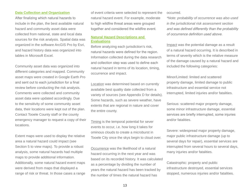#### **Data Collection and Organization**

After finalizing which natural hazards to include in the plan, the best available natural hazard and community asset data were collected from national, state and local data sources for the risk analysis. Spatial data was organized in the software ArcGIS Pro by Esri, and hazard history data was organized into tables in Microsoft Excel.

Community asset data was organized into different categories and mapped. Community asset maps were created in Google Earth Pro and sent out to each jurisdiction for a final review before conducting the risk analysis. Comments were collected and community asset data were updated accordingly. Due to the sensitivity of some community asset data, their locations were kept out of the plan. Contact Tooele County staff or the county emergency manager to request a copy of their locations.

Extent maps were used to display the relative area a natural hazard could impact (see Section 5 to view maps). To provide a robust analysis, some natural hazards had multiple maps to provide additional information. Additionally, some natural hazard event maps were derived from maps that displayed a range of risk or threat. In those cases a range of event criteria were selected to represent the natural hazard event. For example, moderate to high wildfire threat areas were grouped together and considered the wildfire event.

#### **Natural Hazard Descriptions and Evaluations**

Before analyzing each jurisdiction's risk, natural hazards were defined for the region. Information collected during the data research and collection step was used to define each natural hazard in terms of its location, timing, occurrence and impact.

Location was determined based on currently available best quality date collected from a variety of sources (see Appendix D for details). Some hazards, such as severe weather, have extents that are regional in nature and cover the entire county.

Timing is the temporal potential for sever events to occur, i.e. how long it takes for ominous clouds to create a microburst in Tooele City once the skys begin to cloud over.

Occurrence was the likelihood of a natural hazard occurring in the next year and was based on its recorded history. It was calculated as a percentage by dividing the number of years the natural hazard has been tracked by the number of times the natural hazard has

occurred.

*\*Note: probability of occurrence was also used in the jurisdictional risk assessment section*  and was defined differently than the probability of occurrence definition used above.

Impact was the potential damage as a result of a natural hazard occurring. It is described in terms of severity which is the relative measure of the damage caused by a natural hazard and included the following categories:

Minor/Limited: limited and scattered property damage, limited damage to public infrastructure and essential service not interrupted, limited injuries and/or fatalities.

Serious: scattered major property damage, some minor infrastructure damage, essential services are briefly interrupted, some injuries and/or fatalities.

Severe: widespread major property damage, major public infrastructure damage (up to several days for repair), essential services are interrupted from several hours to several days, many injuries and/or fatalities.

Catastrophic: property and public infrastructure destroyed, essential services stopped, numerous injuries and/or fatalities.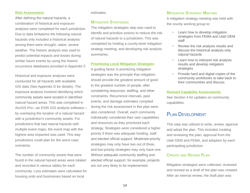#### **Risk Assessment**

After defining the natural hazards, a combination of historical and exposure analyses were completed for each jurisdiction. Due to data limitations the following natural hazards only included a historical analysis: among them were drought, radon, severe weather. The historic analysis was used to predict potential impacts and losses during similar future events by using the historic occurrence databases provided in Appendix F.

Historical and exposure analyses were conducted for all hazards with available GIS data (See Appendix D for details). The exposure analysis involved identifying which community assets were located in identified natural hazard areas. This was completed in ArcGIS Pro—an ESRI GIS analysis software by overlaying the location of a natural hazard with a jurisdiction's community assets. For jurisdictions that had natural hazards with multiple event maps, the event map with the highest area impacted was used. This way jurisdictions could plan for the worst case scenarios.

The number of community assets that were found in the natural hazard areas were totaled and recorded in various tables for each community. Loss estimates were calculated for housing units and businesses based on local

#### estimates.

#### **Mitigation Strategies**

The mitigation strategies step was used to identify and prioritize actions to reduce the risk of natural hazards to a jurisdiction. This was completed by holding a county-level mitigation strategy meeting, and developing risk analysis summaries.

#### **Prioritizing Local Mitigation Strategies**

A guiding factor in prioritizing mitigation strategies was the principle that mitigation should provide the greatest amount of good to the greatest number of people, after considering resources, staffing, and other constraints. Recurrence intervals, past events, and damage estimates compiled during the risk assessment in this plan were also considered. Overall, each community individually considered their own capabilities and resources as they prioritized each strategy. Strategies were considered a higher priority if there was adequate funding, staff, and elected official support. Moderate-priority strategies may only have two out of three, and low-priority strategies may only have one. Without adequate community staffing and elected official support, for example, projects are not very likely to be implemented.

#### **Mitigation Strategy Meeting**

A mitigation strategy meeting was held with the county working group to:

- Learn how to develop mitigation strategies from FEMA and Utah DEM staff
- Review the risk analysis results and discuss the historical analysis only natural hazards
- Learn how to interpret risk analysis results and develop mitigation strategies
- Provide hard and digital copies of the community workbooks to take back to their communities and discuss

#### **Revised Capability Assessments**

See Section 4 for updates on community capabilities.

## PI AN DEVELOPMENT

This step was utilized to write, review, approve and adopt the plan. This included creating and reviewing the plan, approval from the Utah DEM and FEMA, and adoption by each participating jurisdiction.

#### **Create and Review Plan**

Mitigation strategies were collected, reviewed and revised as a draft of the plan was created. After an internal review, the draft plan was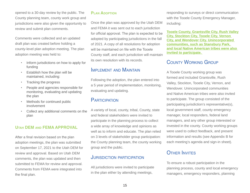opened to a 30-day review by the public. The County planning team, county work group and jurisdictions were also given the opportunity to review and submit plan comments.

Comments were collected and an updated draft plan was created before holding a county-level plan adoption meeting. The plan adoption meeting was held to:

- Inform jurisdictions on how to apply for funding
- Establish how the plan will be maintained, including:
- Tracking the progress
- People and agencies responsible for monitoring, evaluating and updating the plan
- Methods for continued public involvement
- Collect any additional comments on the plan

## **Utah DEM and FEMA APPROVAL**

After a final revision based on the plan adoption meetings, the plan was submitted on September 17, 2021 to the Utah DEM for review and approval. Based on Utah DEM comments, the plan was updated and then submitted to FEMA for review and approval. Comments from FEMA were integrated into the final plan.

#### **Plan Adoption**

Once the plan was approved by the Utah DEM and FEMA it was sent out to each jurisdiction for official approval. The plan is expected to be adopted by participating jurisdictions in the fall of 2021. A copy of all resolutions for adoption will be maintained on file with the Tooele County staff, and each jurisdiction will maintain its own resolution with its records.

## IMPI FMENT AND MAINTAIN

Following the adoption, the plan entered into a 5 year period of implementation, monitoring, evaluating and updating.

## **PARTICIPATION**

A variety of local, county, tribal, County, state and federal stakeholders were invited to participate in the planning process to collect a wide array of knowledge and opinions as well as to inform and educate. The plan relied on 3 levels of stakeholder group participation: the County planning team, the county working group and the public.

## Jurisdiction participation

All jurisdictions were invited to participate in the plan either by attending meetings,

responding to surveys or direct communication with the Tooele County Emergency Manager, including:

**Tooele County, Grantsville City, Rush Valley City, Stockton City, Tooele City, Vernon City, and Wendover City. Unincorporated communities, such as Stansbury Park, and local Native American tribes were also invited to participate.** 

## County Working Group

A Tooele County working group was formed and included Grantsville, Rush Valley, Stockton, Tooele City, Vernon, and Wendover. Unincorporated communities and Native American tribes were also invited to participate. The group consisted of the participating jurisdiction's representative(s), local government staff, county emergency manager, local responders, federal land managers, and any other group interested or invested in the county. County working groups were used to collect feedback, and present information and results (see Appendix B for each meeting's agenda and sign-in sheet).

## Other Invites

To ensure a robust participation in the planning process, county and local emergency managers, emergency responders, planning